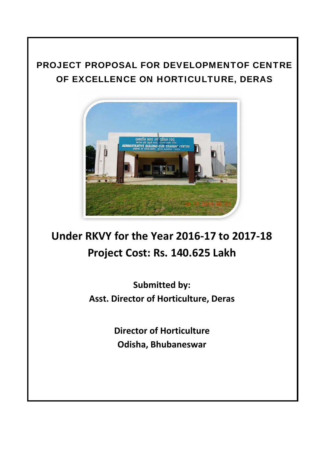# PROJECT PROPOSAL FOR DEVELOPMENTOF CENTRE OF EXCELLENCE ON HORTICULTURE, DERAS



# **Under RKVY for the Year 2016‐17 to 2017‐18 Project Cost: Rs. 140.625 Lakh**

**Submitted by: Asst. Director of Horticulture, Deras**

> **Director of Horticulture Odisha, Bhubaneswar**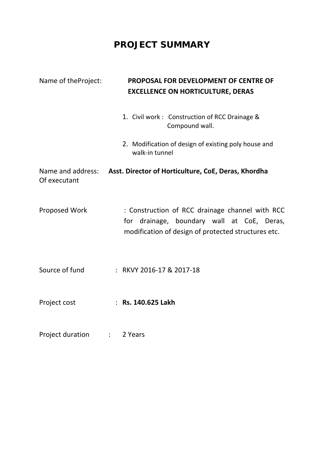# **PROJECT SUMMARY**

| Name of the Project: | <b>PROPOSAL FOR DEVELOPMENT OF CENTRE OF</b><br><b>EXCELLENCE ON HORTICULTURE, DERAS</b>                                                             |
|----------------------|------------------------------------------------------------------------------------------------------------------------------------------------------|
|                      | 1. Civil work: Construction of RCC Drainage &<br>Compound wall.                                                                                      |
|                      | 2. Modification of design of existing poly house and<br>walk-in tunnel                                                                               |
| Of executant         | Name and address: Asst. Director of Horticulture, CoE, Deras, Khordha                                                                                |
| <b>Proposed Work</b> | : Construction of RCC drainage channel with RCC<br>for drainage, boundary wall at CoE, Deras,<br>modification of design of protected structures etc. |
| Source of fund       | : RKVY 2016-17 & 2017-18                                                                                                                             |
| Project cost         | : Rs. 140.625 Lakh                                                                                                                                   |
| Project duration     | 2 Years<br>$\mathbb{Z}^{\mathbb{Z}}$                                                                                                                 |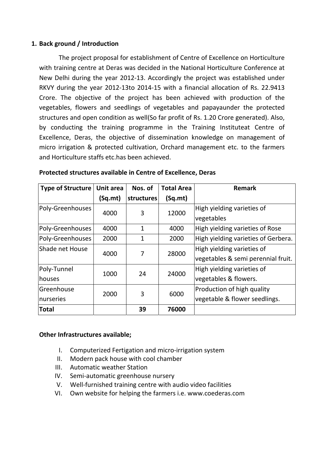#### **1. Back ground / Introduction**

The project proposal for establishment of Centre of Excellence on Horticulture with training centre at Deras was decided in the National Horticulture Conference at New Delhi during the year 2012‐13. Accordingly the project was established under RKVY during the year 2012‐13to 2014‐15 with a financial allocation of Rs. 22.9413 Crore. The objective of the project has been achieved with production of the vegetables, flowers and seedlings of vegetables and papayaunder the protected structures and open condition as well(So far profit of Rs. 1.20 Crore generated). Also, by conducting the training programme in the Training Instituteat Centre of Excellence, Deras, the objective of dissemination knowledge on management of micro irrigation & protected cultivation, Orchard management etc. to the farmers and Horticulture staffs etc.has been achieved.

| <b>Type of Structure</b> | Unit area          | Nos. of      | <b>Total Area</b>          | <b>Remark</b>                       |
|--------------------------|--------------------|--------------|----------------------------|-------------------------------------|
|                          | (Sq.mt)            | structures   | (Sq.mt)                    |                                     |
| Poly-Greenhouses         | 12000<br>3<br>4000 |              | High yielding varieties of |                                     |
|                          |                    |              |                            | vegetables                          |
| Poly-Greenhouses         | 4000               | $\mathbf{1}$ | 4000                       | High yielding varieties of Rose     |
| Poly-Greenhouses         | 2000               | 1            | 2000                       | High yielding varieties of Gerbera. |
| Shade net House          | 4000               | 7            | 28000                      | High yielding varieties of          |
|                          |                    |              |                            | vegetables & semi perennial fruit.  |
| Poly-Tunnel              | 1000               | 24           | 24000                      | High yielding varieties of          |
| houses                   |                    |              |                            | vegetables & flowers.               |
| Greenhouse               | 2000               | 3            | 6000                       | Production of high quality          |
| nurseries                |                    |              |                            | vegetable & flower seedlings.       |
| <b>Total</b>             |                    | 39           | 76000                      |                                     |

#### **Protected structures available in Centre of Excellence, Deras**

#### **Other Infrastructures available;**

- I. Computerized Fertigation and micro‐irrigation system
- II. Modern pack house with cool chamber
- III. Automatic weather Station
- IV. Semi‐automatic greenhouse nursery
- V. Well‐furnished training centre with audio video facilities
- VI. Own website for helping the farmers i.e. www.coederas.com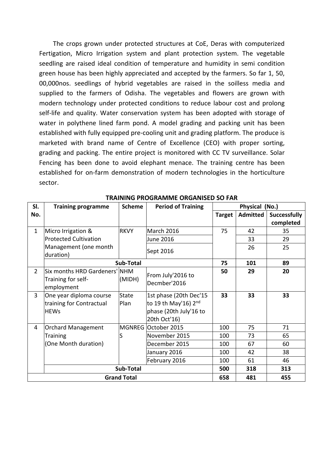The crops grown under protected structures at CoE, Deras with computerized Fertigation, Micro Irrigation system and plant protection system. The vegetable seedling are raised ideal condition of temperature and humidity in semi condition green house has been highly appreciated and accepted by the farmers. So far 1, 50, 00,000nos. seedlings of hybrid vegetables are raised in the soilless media and supplied to the farmers of Odisha. The vegetables and flowers are grown with modern technology under protected conditions to reduce labour cost and prolong self-life and quality. Water conservation system has been adopted with storage of water in polythene lined farm pond. A model grading and packing unit has been established with fully equipped pre‐cooling unit and grading platform. The produce is marketed with brand name of Centre of Excellence (CEO) with proper sorting, grading and packing. The entire project is monitored with CC TV surveillance. Solar Fencing has been done to avoid elephant menace. The training centre has been established for on-farm demonstration of modern technologies in the horticulture sector.

| SI.            | <b>Period of Training</b><br><b>Scheme</b><br><b>Training programme</b> |                      | Physical (No.)                                                                           |               |                 |                     |
|----------------|-------------------------------------------------------------------------|----------------------|------------------------------------------------------------------------------------------|---------------|-----------------|---------------------|
| No.            |                                                                         |                      |                                                                                          | <b>Target</b> | <b>Admitted</b> | <b>Successfully</b> |
|                |                                                                         |                      |                                                                                          |               |                 | completed           |
| $\mathbf{1}$   | Micro Irrigation &                                                      | <b>RKVY</b>          | <b>March 2016</b>                                                                        | 75            | 42              | 35                  |
|                | <b>Protected Cultivation</b>                                            |                      | June 2016                                                                                |               | 33              | 29                  |
|                | Management (one month<br>duration)                                      |                      | Sept 2016                                                                                |               | 26              | 25                  |
|                |                                                                         | Sub-Total            |                                                                                          | 75            | 101             | 89                  |
| $\overline{2}$ | Six months HRD Gardeners' NHM<br>Training for self-<br>employment       | (MIDH)               | From July'2016 to<br>Decmber'2016                                                        | 50            | 29              | 20                  |
| 3              | One year diploma course<br>training for Contractual<br><b>HEWs</b>      | <b>State</b><br>Plan | 1st phase (20th Dec'15<br>to 19 th May'16) 2nd<br>phase (20th July'16 to<br>20th Oct'16) | 33            | 33              | 33                  |
| $\overline{4}$ | <b>Orchard Management</b>                                               |                      | MGNREG October 2015                                                                      | 100           | 75              | 71                  |
|                | <b>Training</b>                                                         | S                    | November 2015                                                                            | 100           | 73              | 65                  |
|                | (One Month duration)                                                    |                      | December 2015                                                                            | 100           | 67              | 60                  |
|                |                                                                         |                      | January 2016                                                                             | 100           | 42              | 38                  |
|                |                                                                         |                      | February 2016                                                                            | 100           | 61              | 46                  |
|                | Sub-Total                                                               |                      |                                                                                          | 500           | 318             | 313                 |
|                | <b>Grand Total</b>                                                      |                      |                                                                                          | 658           | 481             | 455                 |

#### **TRAINING PROGRAMME ORGANISED SO FAR**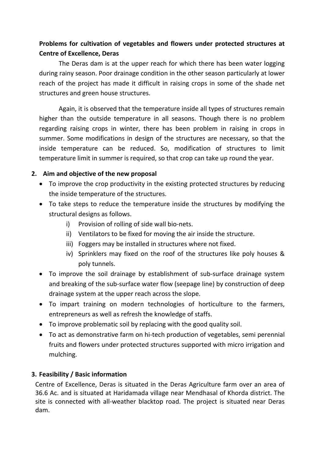### **Problems for cultivation of vegetables and flowers under protected structures at Centre of Excellence, Deras**

The Deras dam is at the upper reach for which there has been water logging during rainy season. Poor drainage condition in the other season particularly at lower reach of the project has made it difficult in raising crops in some of the shade net structures and green house structures.

Again, it is observed that the temperature inside all types of structures remain higher than the outside temperature in all seasons. Though there is no problem regarding raising crops in winter, there has been problem in raising in crops in summer. Some modifications in design of the structures are necessary, so that the inside temperature can be reduced. So, modification of structures to limit temperature limit in summer is required, so that crop can take up round the year.

#### **2. Aim and objective of the new proposal**

- To improve the crop productivity in the existing protected structures by reducing the inside temperature of the structures.
- To take steps to reduce the temperature inside the structures by modifying the structural designs as follows.
	- i) Provision of rolling of side wall bio-nets.
	- ii) Ventilators to be fixed for moving the air inside the structure.
	- iii) Foggers may be installed in structures where not fixed.
	- iv) Sprinklers may fixed on the roof of the structures like poly houses & poly tunnels.
- To improve the soil drainage by establishment of sub-surface drainage system and breaking of the sub-surface water flow (seepage line) by construction of deep drainage system at the upper reach across the slope.
- To impart training on modern technologies of horticulture to the farmers, entrepreneurs as well as refresh the knowledge of staffs.
- To improve problematic soil by replacing with the good quality soil.
- To act as demonstrative farm on hi‐tech production of vegetables, semi perennial fruits and flowers under protected structures supported with micro irrigation and mulching.

#### **3. Feasibility / Basic information**

Centre of Excellence, Deras is situated in the Deras Agriculture farm over an area of 36.6 Ac. and is situated at Haridamada village near Mendhasal of Khorda district. The site is connected with all-weather blacktop road. The project is situated near Deras dam.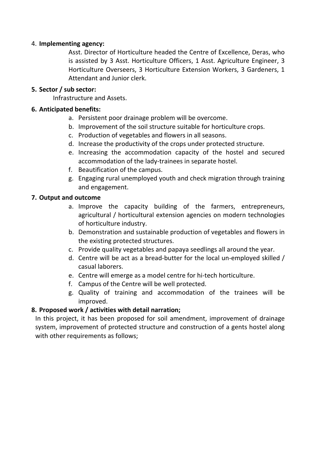#### 4. **Implementing agency:**

Asst. Director of Horticulture headed the Centre of Excellence, Deras, who is assisted by 3 Asst. Horticulture Officers, 1 Asst. Agriculture Engineer, 3 Horticulture Overseers, 3 Horticulture Extension Workers, 3 Gardeners, 1 Attendant and Junior clerk.

#### **5. Sector / sub sector:**

Infrastructure and Assets.

#### **6. Anticipated benefits:**

- a. Persistent poor drainage problem will be overcome.
- b. Improvement of the soil structure suitable for horticulture crops.
- c. Production of vegetables and flowers in all seasons.
- d. Increase the productivity of the crops under protected structure.
- e. Increasing the accommodation capacity of the hostel and secured accommodation of the lady‐trainees in separate hostel.
- f. Beautification of the campus.
- g. Engaging rural unemployed youth and check migration through training and engagement.

#### **7. Output and outcome**

- a. Improve the capacity building of the farmers, entrepreneurs, agricultural / horticultural extension agencies on modern technologies of horticulture industry.
- b. Demonstration and sustainable production of vegetables and flowers in the existing protected structures.
- c. Provide quality vegetables and papaya seedlings all around the year.
- d. Centre will be act as a bread‐butter for the local un‐employed skilled / casual laborers.
- e. Centre will emerge as a model centre for hi‐tech horticulture.
- f. Campus of the Centre will be well protected.
- g. Quality of training and accommodation of the trainees will be improved.

#### **8. Proposed work / activities with detail narration;**

In this project, it has been proposed for soil amendment, improvement of drainage system, improvement of protected structure and construction of a gents hostel along with other requirements as follows;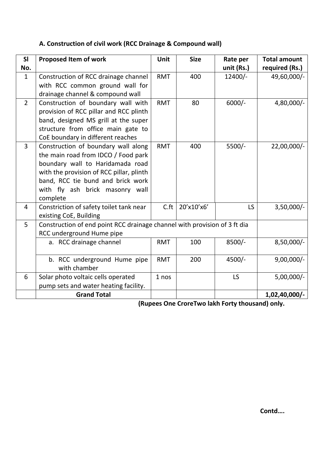## **A. Construction of civil work (RCC Drainage & Compound wall)**

| SI<br>No.      | <b>Proposed Item of work</b>                                                                                                                                                                                                                   | Unit       | <b>Size</b> | Rate per<br>unit (Rs.) | <b>Total amount</b><br>required (Rs.) |
|----------------|------------------------------------------------------------------------------------------------------------------------------------------------------------------------------------------------------------------------------------------------|------------|-------------|------------------------|---------------------------------------|
| $\mathbf{1}$   | Construction of RCC drainage channel<br>with RCC common ground wall for<br>drainage channel & compound wall                                                                                                                                    | <b>RMT</b> | 400         | $12400/-$              | 49,60,000/-                           |
| $\overline{2}$ | Construction of boundary wall with<br>provision of RCC pillar and RCC plinth<br>band, designed MS grill at the super<br>structure from office main gate to<br>CoE boundary in different reaches                                                | <b>RMT</b> | 80          | $6000/-$               | 4,80,000/-                            |
| $\overline{3}$ | Construction of boundary wall along<br>the main road from IDCO / Food park<br>boundary wall to Haridamada road<br>with the provision of RCC pillar, plinth<br>band, RCC tie bund and brick work<br>with fly ash brick masonry wall<br>complete | <b>RMT</b> | 400         | $5500/-$               | 22,00,000/-                           |
| 4              | Constriction of safety toilet tank near<br>existing CoE, Building                                                                                                                                                                              | C.ft       | 20'x10'x6'  | LS                     | $3,50,000/-$                          |
| 5              | Construction of end point RCC drainage channel with provision of 3 ft dia<br>RCC underground Hume pipe                                                                                                                                         |            |             |                        |                                       |
|                | a. RCC drainage channel                                                                                                                                                                                                                        | <b>RMT</b> | 100         | $8500/-$               | 8,50,000/-                            |
|                | b. RCC underground Hume pipe<br>with chamber                                                                                                                                                                                                   | <b>RMT</b> | 200         | $4500/-$               | $9,00,000/-$                          |
| 6              | Solar photo voltaic cells operated<br>pump sets and water heating facility.                                                                                                                                                                    | 1 nos      |             | LS                     | $5,00,000/-$                          |
|                | <b>Grand Total</b>                                                                                                                                                                                                                             |            |             |                        | 1,02,40,000/-                         |

**(Rupees One CroreTwo lakh Forty thousand) only.**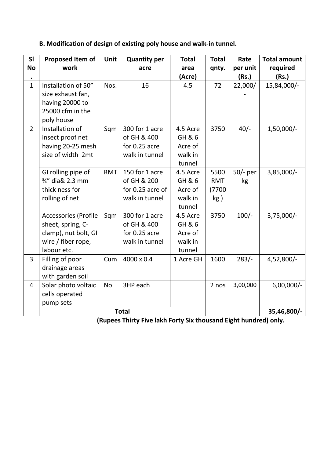## **B. Modification of design of existing poly house and walk‐in tunnel.**

| SI<br><b>No</b> | Proposed Item of<br>work                                                                               | Unit       | <b>Quantity per</b><br>acre                                         | <b>Total</b><br>area<br>(Acre)                     | <b>Total</b><br>qnty.               | Rate<br>per unit<br>(Rs.) | <b>Total amount</b><br>required<br>(Rs.) |
|-----------------|--------------------------------------------------------------------------------------------------------|------------|---------------------------------------------------------------------|----------------------------------------------------|-------------------------------------|---------------------------|------------------------------------------|
| $\mathbf{1}$    | Installation of 50"<br>size exhaust fan,<br>having 20000 to<br>25000 cfm in the<br>poly house          | Nos.       | 16                                                                  | 4.5                                                | 72                                  | 22,000/                   | 15,84,000/-                              |
| $\overline{2}$  | Installation of<br>insect proof net<br>having 20-25 mesh<br>size of width 2mt                          | Sqm        | 300 for 1 acre<br>of GH & 400<br>for 0.25 acre<br>walk in tunnel    | 4.5 Acre<br>GH & 6<br>Acre of<br>walk in<br>tunnel | 3750                                | $40/-$                    | 1,50,000/-                               |
|                 | GI rolling pipe of<br>3⁄4" dia& 2.3 mm<br>thick ness for<br>rolling of net                             | <b>RMT</b> | 150 for 1 acre<br>of GH & 200<br>for 0.25 acre of<br>walk in tunnel | 4.5 Acre<br>GH & 6<br>Acre of<br>walk in<br>tunnel | 5500<br><b>RMT</b><br>(7700)<br>kg) | $50/-$ per<br>kg          | 3,85,000/-                               |
|                 | Accessories (Profile<br>sheet, spring, C-<br>clamp), nut bolt, GI<br>wire / fiber rope,<br>labour etc. | Sqm        | 300 for 1 acre<br>of GH & 400<br>for 0.25 acre<br>walk in tunnel    | 4.5 Acre<br>GH & 6<br>Acre of<br>walk in<br>tunnel | 3750                                | $100/-$                   | $3,75,000/-$                             |
| $\overline{3}$  | Filling of poor<br>drainage areas<br>with garden soil                                                  | Cum        | 4000 x 0.4                                                          | 1 Acre GH                                          | 1600                                | $283/-$                   | 4,52,800/-                               |
| $\overline{4}$  | Solar photo voltaic<br>cells operated<br>pump sets                                                     | No         | 3HP each<br><b>Total</b>                                            |                                                    | 2 nos                               | 3,00,000                  | $6,00,000/-$                             |
|                 |                                                                                                        |            |                                                                     | 35,46,800/-                                        |                                     |                           |                                          |

**(Rupees Thirty Five lakh Forty Six thousand Eight hundred) only.**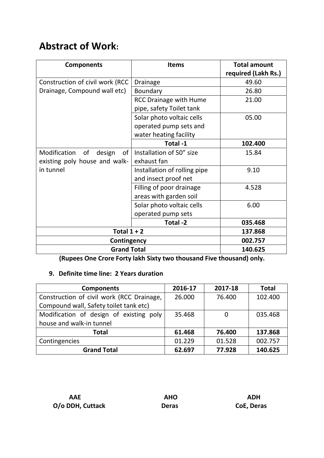# **Abstract of Work:**

| <b>Components</b>                            | <b>Items</b>                  | <b>Total amount</b><br>required (Lakh Rs.) |
|----------------------------------------------|-------------------------------|--------------------------------------------|
|                                              |                               | 49.60                                      |
| Construction of civil work (RCC              | <b>Drainage</b>               |                                            |
| Drainage, Compound wall etc)                 | Boundary                      | 26.80                                      |
|                                              | <b>RCC Drainage with Hume</b> | 21.00                                      |
|                                              | pipe, safety Toilet tank      |                                            |
|                                              | Solar photo voltaic cells     | 05.00                                      |
|                                              | operated pump sets and        |                                            |
|                                              | water heating facility        |                                            |
|                                              | Total-1                       | 102.400                                    |
| Modification of<br>design<br>of <sub>l</sub> | Installation of 50" size      | 15.84                                      |
| existing poly house and walk-                | exhaust fan                   |                                            |
| in tunnel                                    | Installation of rolling pipe  | 9.10                                       |
|                                              | and insect proof net          |                                            |
|                                              | Filling of poor drainage      | 4.528                                      |
|                                              | areas with garden soil        |                                            |
|                                              | Solar photo voltaic cells     | 6.00                                       |
|                                              | operated pump sets            |                                            |
|                                              | Total -2                      | 035.468                                    |
| Total $1 + 2$                                | 137.868                       |                                            |
| Contingency                                  | 002.757                       |                                            |
| <b>Grand Total</b>                           | 140.625                       |                                            |

**(Rupees One Crore Forty lakh Sixty two thousand Five thousand) only.**

### **9. Definite time line: 2 Years duration**

| <b>Components</b>                         | 2016-17 | 2017-18 | <b>Total</b> |
|-------------------------------------------|---------|---------|--------------|
| Construction of civil work (RCC Drainage, | 26.000  | 76.400  | 102.400      |
| Compound wall, Safety toilet tank etc)    |         |         |              |
| Modification of design of existing poly   | 35.468  |         | 035.468      |
| house and walk-in tunnel                  |         |         |              |
| <b>Total</b>                              | 61.468  | 76.400  | 137.868      |
| Contingencies                             | 01.229  | 01.528  | 002.757      |
| <b>Grand Total</b>                        | 62.697  | 77.928  | 140.625      |